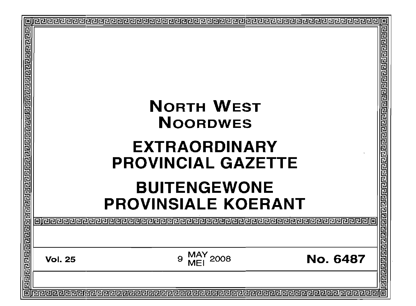|                                                                          |                                           | 민리민           |
|--------------------------------------------------------------------------|-------------------------------------------|---------------|
|                                                                          |                                           |               |
|                                                                          |                                           |               |
|                                                                          |                                           |               |
|                                                                          |                                           |               |
|                                                                          | <b>NORTH WEST</b>                         | 리립민민리리리리민리리   |
|                                                                          |                                           |               |
|                                                                          | <b>NOORDWES</b>                           |               |
|                                                                          | <b>EXTRAORDINARY</b>                      |               |
|                                                                          |                                           |               |
|                                                                          | <b>PROVINCIAL GAZETTE</b>                 |               |
|                                                                          | <b>BUITENGEWONE</b>                       |               |
|                                                                          |                                           |               |
|                                                                          | <b>PROVINSIALE KOERANT</b>                |               |
|                                                                          |                                           | <b>Proper</b> |
|                                                                          |                                           |               |
|                                                                          |                                           |               |
|                                                                          | 2008<br><b>No. 6487</b><br><b>Vol. 25</b> |               |
| <u>Jaioko elementar elemente elemente elemente elemente elemente ele</u> |                                           | 민리민민민리        |
| 同                                                                        |                                           | 回             |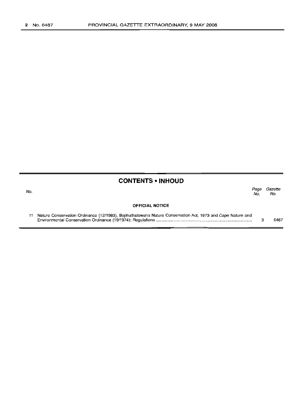# No.

# **CONTENTS • INHOUD**

Page Gazette No. No.

#### **OFFICIAL NOTICE**

| 11 Nature Conservation Ordinance (12/1983), Bophuthatswana Nature Conservation Act, 1973 and Cape Nature and |      |
|--------------------------------------------------------------------------------------------------------------|------|
|                                                                                                              | 6487 |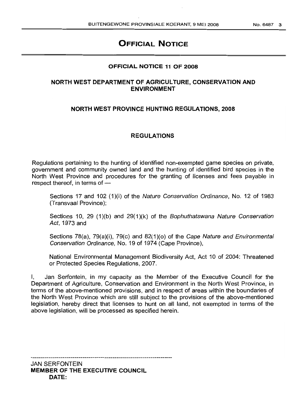# **OFFICIAL NOTICE**

### **OFFICIAL NOTICE 11 OF 2008**

## **NORTH WEST DEPARTMENT OF AGRICULTURE, CONSERVATION AND ENVIRONMENT**

### **NORTH WEST PROVINCE HUNTING REGULATIONS, 2008**

### **REGULATIONS**

Regulations pertaining to the hunting of identified non-exempted game species on private, government and community owned land and the hunting of identified bird species in the North West Province and procedures for the granting of licenses and fees payable in respect thereof, in terms of  $-$ 

Sections 17 and 102 (1)(i) of the Nature Conservation Ordinance, No. 12 of 1983 (Transvaal Province);

Sections 10, 29  $(1)(b)$  and 29 $(1)(k)$  of the Bophuthatswana Nature Conservation Act, 1973 and

Sections 78(a), 79(a)(i), 79(c) and 82(1 )(0) of the Cape Nature and Environmental Conservation Ordinance, No. 19 of 1974 (Cape Province),

National Environmental Management Biodiversity Act, Act 10 of 2004: Threatened or Protected Species Regulations, 2007.

Jan Serfontein, in my capacity as the Member of the Executive Council for the Department of Agriculture, Conservation and Environment in the North West Province, in terms of the above-mentioned provisions, and in respect of areas within the boundaries of the North Wiest Province which are still subject to the provisions of the above-mentioned legislation, hereby direct that licenses to hunt on all land, not exempted in terms of the above legislation, will be processed as specified herein.

JAN SERFONTEIN **MEMBER OF THE EXECUTIVE COUNCIL DATE:**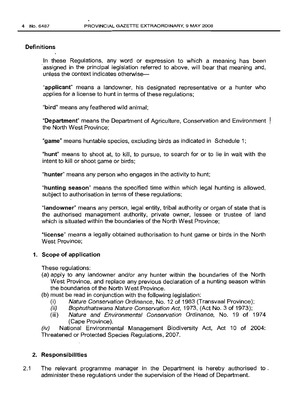#### **Definitions**

In these Regulations, any word or expression to which a meaning has been assigned in the principal legislation referred to above, will bear that meaning and, unless the context indicates otherwise-

"applicant" means a landowner, his designated representative or a hunter who applies for a license to hunt in terms of these regulations;

"bird" means any feathered wild animal;

"Department" means the Department of Agriculture, Conservation and Environment the North West Province;

"game" means huntable species, excluding birds as indicated in Schedule 1;

"hunt" means to shoot at, to kill, to pursue, to search for or to lie in wait with the intent to kill or shoot game or birds;

"hunter" means any person who engages in the activity to hunt;

"hunting season" means the specified time within which legal hunting is allowed, subject to authorisation in terms of these regulations;

"landowner" means any person, legal entity, tribal authority or organ of state that is the authorised management authority, private owner, lessee or trustee of land which is situated within the boundaries of the North West Province;

"license" means a legally obtained authorisation to hunt game or birds in the North West Province;

## 1. Scope of application

These regulations:

- (a) apply to any landowner and/or any hunter within the boundaries of the North West Province, and replace any previous declaration of a hunting season within the boundaries of the North West Province.
- (b) must be read in conjunction with the following legislation:
	- (i) Nature Conservation Ordinance, No. 12 of 1983 (Transvaal Province);
	- (ii) Bophuthatswana Nature Conservation Act, 1973, (Act No. 3 of 1973);
	- (iii) Nature and Environmental Conservation Ordinance, No. 19 of 1974 (Cape Province).

(iv) National Environmental Management Biodiversity Act, Act 10 of 2004: Threatened or Protected Species Regulations, 2007.

## 2. Responsibilities

2.1 The relevant programme manager in the Department is hereby authorised to. administer these regulations under the supervision of the Head of Department.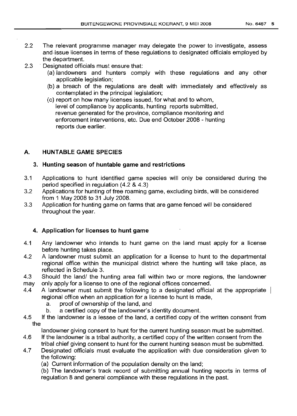- 2.2 The relevant programme manager may delegate the power to investigate, assess and· issue licenses in terms of these regulations to designated officials employed by the department.
- 2.3 **Designated officials must ensure that:** 
	- (a) landowners and hunters comply with these regulations and any other applicable legislation;
	- (b) a breach of the regulations are dealt with immediately and effectively as contemplated in the principal legislation;
	- (c) report on how many licenses issued, for what and to whom, level of compliance by applicants, hunting reports submitted, revenue generated for the province, compliance monitoring and enforcement interventions, etc. Due end October 2008 - hunting reports due earlier.

## A. HUNTABLE GAME SPECIES

## 3. Hunting season of huntable game and restrictions

- 3.1 Applications to hunt identified game species will only be considered during the period specified in regulation (4.2 & 4.3)
- 3.2 Applications for hunting of free roaming game, excluding birds, will be considered from 1 May 2008 to 31 July 2008.
- 3.3 Application for hunting game on farms that are game fenced will be considered throughout the year.

## 4. Application for licenses to hunt game

- 4.1 Any landowner who intends to hunt game on the land must apply for a license before hunting takes place.
- 4.2 A landowner must submit an application for a license to hunt to the departmental regional office within the municipal district where the hunting will take place, as reflected in Schedule 3.
- 4.3 may Should the land/ the hunting area fall within two or more regions, the landowner only apply for a license to one of the regional offices concerned.
- 4.4 A landowner must submit the followinq to a designated official at the appropriate regional office when an application for a license to hunt is made,
	- a. proof of ownership of the land, and
	- b. a certified copy of the landowner's identity document.
- 4.5 If the landowner is a lessee of the land, a certified copy of the written consent from the

landowner giving consent to hunt for the current hunting season must be submitted.

- 4.6 If the landowner is a tribal authority, a certified copy of the written consent from the tribal chief giving consent to hunt for the current hunting season must be submitted.
- 4.7 Designated officials must evaluate the application with due consideration given to the following:
	- (a) Current information of the population density on the land;

(b) The landowner's track record of submitting annual hunting reports in terms of regulation 8 and general compliance with these requlations in the past.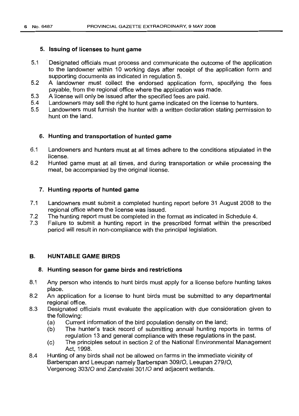### 5. Issuing of licenses to hunt game

- 5.1 Designated officials must process and communicate the outcome of the application to the landowner within 10 working days after receipt of the application form and supporting documents as indicated in regulation 5.
- 5.2 A landowner must collect the endorsed application form, specifying the fees payable, from the regional office where the application was made.
- 5.3 A license will only be issued after the specified fees are paid.
- 5.4 Landowners may sell the right to hunt game indicated on the license to hunters.
- 5.5 Landowners must furnish the hunter with a written declaration stating permission to hunt on the land.

### 6. Hunting and transportation of hunted game

- 6.1 Landowners and hunters must at all times adhere to the conditions stipulated in the license.
- 6.2 Hunted game must at all times, and during transportation or while processing the meat, be accompanied by the original license.

### 7. Hunting reports of hunted game

- 7.1 Landowners must submit a completed hunting report before 31 August 2008 to the regional office where the license was issued.
- 7.2 The hunting report must be completed in the format as indicated in Schedule 4.
- 7.3 Failure to submit a hunting report in the prescribed format within the prescribed period will result in non-compliance with the principal legislation.

#### B. HUNTABLE GAME BIRDS

#### 8. Hunting season for game birds and restrictions

- 8.1 Any person who intends to hunt birds must apply for a license before hunting takes place.
- 8.2 An application for a license to hunt birds must be submitted to any departmental regional office.
- 8.3 Designated officials must evaluate the application with due consideration given to the following:
	- (a) Current information of the bird population density on the land;
	- (b) The hunter's track record of submitting annual hunting reports in terms of regulation 13 and general compliance with these regulations in the past.
	- (c) The principles setout in section 2 of the National Environmental Management Act, 1998.
- 8.4 Hunting of any birds shall not be allowed on farms in the immediate vicinity of Barberspan and Leeupan namely Barberspan 30910, Leeupan 27910, Vergenoeg 30310 and Zandvalei 30110 and adjacent wetlands.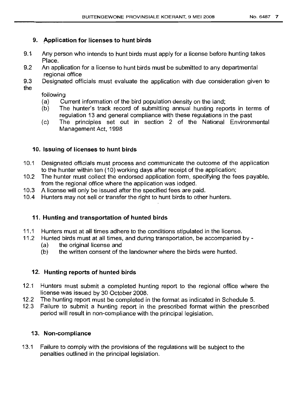## 9. Application for licenses to hunt birds

- 9.t Any person who intends to hunt birds must apply for a license before hunting takes Place.
- 9.2 An application for a license to hunt birds must be submitted to any departmental regional office
- 9.3 Designated officials must evaluate the application with due consideration given to the

followinq

- (a) Current information of the bird population density on the land;
- (b) The hunter's track record of submitting annual hunting reports in terms of requlation 13 and general compliance with these regulations in the past
- (c) The principles set out in section 2 of the National Environmental Management Act, 1998

## 10. lssuinq of licenses to hunt birds

- 10.1 Designated officials must process and communicate the outcome of the application to the hunter within ten (10) working days after receipt of the application;
- 10.2 The hunter must collect the endorsed application form, speCifying the fees payable, from the reqional office where the application was lodged.
- 10.3 A license will only be issued after the specified fees are paid.
- 10.4 Hunters may not sell or transfer the right to hunt birds to other hunters.

## 11. Huntinq and transportation of hunted birds

- 11.1 Hunters must at all times adhere to the conditions stipulated in the license.
- 11.2 Hunted birds must at all times, and during transportation, be accompanied by -
	- (a) the original license and
	- (b) the written consent of the landowner where the birds were hunted.

## 12. Hunting reports of hunted birds

- 12.1 Hunters must submit a completed hunting report to the regional office where the license was issued by 30 October 2008.
- 12.2 The hunting report must be completed in the format as indicated in Schedule 5.
- 12.3 Failure to submit a hunting report in the prescribed format within the prescribed period will result in non-compliance with the principal legislation.

## 13. Non-compliance

13.1 Failure to comply with the provisions of the regulations will be subject to the penalties outlined in the principal legislation.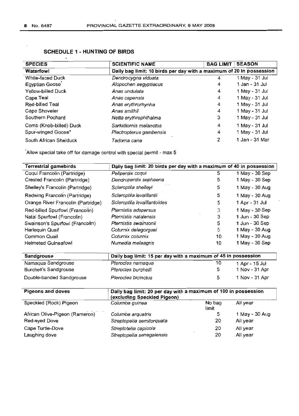## **SCHEDULE 1 - HUNTING OF BIRDS**

| <b>SPECIES</b>          | <b>SCIENTIFIC NAME</b>                                               | <b>BAG LIMIT</b> | <b>SEASON</b>  |
|-------------------------|----------------------------------------------------------------------|------------------|----------------|
| Waterfowl               | Daily bag limit: 10 birds per day with a maximum of 20 in possession |                  |                |
| White-faced Duck        | Dendrocygna viduata                                                  | 4                | 1 May - 31 Jul |
| Egyptian Goose          | Alopochen aegyptiacus                                                | 4                | 1 Jan - 31 Jul |
| Yellow-billed Duck      | Anas undulata                                                        | 4                | 1 May - 31 Jul |
| Cape Teal               | Anas capensis                                                        | 4                | 1 May - 31 Jul |
| Red-billed Teal         | Anas erythrorhynha                                                   | 4                | 1 May - 31 Jul |
| Cape Shoveler           | Anas smithii                                                         | 4                | 1 May - 31 Jul |
| Southern Pochard        | Netta erythrophthalma                                                | 3                | 1 May - 31 Jul |
| Comb (Knob-billed) Duck | Sarkidiornis melanotos                                               | 4                | 1 May - 31 Jul |
| Spur-winged Goose*      | Plectropterus gambensis                                              | 4                | 1 May - 31 Jul |
| South African Shelduck  | Tadorna cana                                                         | 2                | 1 Jan - 31 Mar |

"Allow special take off for damage control with special permit - max 5

| <b>Terrestrial gamebirds</b>       | Daily bag limit: 20 birds per day with a maximum of 40 in possession |                 |                |  |  |
|------------------------------------|----------------------------------------------------------------------|-----------------|----------------|--|--|
| Coqui Francolin (Partridge)        | Peliperdix coqui                                                     | 5               | 1 May - 30 Sep |  |  |
| Crested Francolin (Partridge)      | Dendroperdix sephaena                                                | 5               | 1 May - 30 Sep |  |  |
| Shelley's Francolin (Partridge)    | Scleroptila shelleyi                                                 | 5               | 1 May - 30 Aug |  |  |
| Redwing Francolin (Partridge)      | Scleroptila levaillantii                                             | 5               | 1 May - 30 Aug |  |  |
| Orange River Francolin (Partridge) | Scleroptila levaillantoides                                          | 5               | 1 Apr - 31 Jul |  |  |
| Red-billed Spurfowl (Francolin)    | Pternistis adspersus                                                 | 3               | 1 May - 30 Sep |  |  |
| Natal Spurfowl (Francolin)         | Pternistis natalensis                                                | 3               | 1 Jun - 30 Sep |  |  |
| Swainson's Spurfowl (Francolin)    | Pternistis swainsonii                                                | 5               | 1 Jun - 30 Sep |  |  |
| Harlequin Quail                    | Coturnix delegorguei                                                 | 5               | 1 May - 30 Aug |  |  |
| Common Quail                       | Coturnix coturnix                                                    | 10              | 1 May - 30 Aug |  |  |
| <b>Helmeted Guineafowl</b>         | Numedia meleagris                                                    | 10              | 1 May - 30 Sep |  |  |
|                                    |                                                                      |                 |                |  |  |
| <b>Sandgrouse</b>                  | Daily bag limit: 15 per day with a maximum of 45 in possession       |                 |                |  |  |
| Namaqua Sandgrouse                 | Pterocles namagua                                                    | 10              | 1 Apr - 15 Jul |  |  |
| <b>Burchell's Sandgrouse</b>       | Pterocles burchelli                                                  | 5               | 1 Nov - 31 Apr |  |  |
| Double-banded Sandgrouse           | Pterocles bicinctus                                                  | 5               | 1 Nov - 31 Apr |  |  |
|                                    |                                                                      |                 |                |  |  |
| <b>Pigeons and doves</b>           | Daily bag limit: 20 per day with a maximum of 100 in possession      |                 |                |  |  |
|                                    | (excluding Speckled Pigeon)                                          |                 |                |  |  |
| Speckled (Rock) Pigeon             | Columba guinea                                                       | No bag<br>limit | All year       |  |  |
| African Olive-Pigeon (Rameron)     | Columba arquatrix                                                    | 5               | 1 May - 30 Aug |  |  |
| Red-eyed Dove                      | Streptopelia semitorquata                                            | 20              | All year       |  |  |
| Cape Turtle-Dove                   | Streptotelia capicola                                                | 20              | All year       |  |  |
| Laughing dove                      | Streptopelia senegalensis                                            | 20              | All year       |  |  |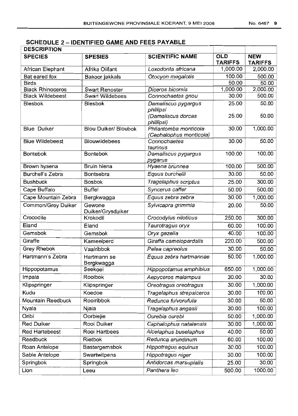# **SCHEDULE :2 -IDENTIFIED GAME AND FEES PAYABLE**

| <b>DESCRIPTION</b>       |                                          |                                                        |                              |                              |  |  |  |  |
|--------------------------|------------------------------------------|--------------------------------------------------------|------------------------------|------------------------------|--|--|--|--|
| <b>SPECIES</b>           | <b>SCIENTIFIC NAME</b><br><b>SPESIES</b> |                                                        | <b>OLD</b><br><b>TARIFFS</b> | <b>NEW</b><br><b>TARIFFS</b> |  |  |  |  |
| African Elephant         | Afrika Olifant                           | Loxodonta africana                                     | 1,000.00                     | 2,000.00                     |  |  |  |  |
| Bat eared fox            | Bakoor jakkals                           | Otocyon megalotis                                      | 100.00                       | 500.00                       |  |  |  |  |
| <b>Birds</b>             |                                          |                                                        | 50.00                        | 50.00                        |  |  |  |  |
| <b>Black Rhinoceros</b>  | <b>Swart Renoster</b>                    | Diceros bicornis                                       | 1,000.00                     | 2,000.00                     |  |  |  |  |
| <b>Black Wildebeest</b>  | <b>Swart Wildebees</b>                   | Connochaetes gnou                                      | 30.00                        | 500.00                       |  |  |  |  |
| <b>Blesbok</b>           | <b>Blesbok</b>                           | Damaliscus pygargus<br>phillipsi<br>(Damaliscus dorcas | 25.00<br>25.00               | 50.00<br>50.00               |  |  |  |  |
|                          |                                          | phillipsi)                                             |                              |                              |  |  |  |  |
| <b>Blue Duiker</b>       | <b>Blou Duiker/ Bloubok</b>              | Philantomba monticola<br>(Cephalophus monticola)       | 30.00                        | 1,000.00                     |  |  |  |  |
| <b>Blue Wildebeest</b>   | <b>Blouwildebees</b>                     | Connochaetes<br>taurinus                               | 30.00                        | 50.00                        |  |  |  |  |
| <b>Bontebok</b>          | <b>Bontebok</b>                          | Damaliscus pygargus<br>pygarus                         | 100.00                       | 100.00                       |  |  |  |  |
| Brown hyaena             | <b>Bruin hiena</b>                       | Hyaena brunnea                                         | 100.00                       | 500.00                       |  |  |  |  |
| Burchell's Zebra         | Bontsebra                                | Equus burchelli                                        | 30.00                        | 50.00                        |  |  |  |  |
| <b>Bushbuck</b>          | <b>Bosbok</b>                            | Tragelaphus scriptus                                   | 25.00                        | 300.00                       |  |  |  |  |
| Cape Buffalo             | <b>Buffel</b>                            | Syncerus caffer                                        | 50.00                        | 500.00                       |  |  |  |  |
| Cape Mountain Zebra      | Bergkwagga                               | Equus zebra zebra                                      | 30.00                        | 1,000.00                     |  |  |  |  |
| Common/Grey Duiker       | Gewone<br>Duiker/Grysduiker              | Sylvicapra grimmia                                     | 20.00                        | 50.00                        |  |  |  |  |
| Crocodile                | Krokodil                                 | Crocodylus niloticus                                   | 250.00                       | 300.00                       |  |  |  |  |
| Eland                    | Eland                                    | Taurotragus oryx                                       | 60.00                        | 100.00                       |  |  |  |  |
| Gemsbok                  | Gemsbok                                  | Oryx gazella                                           | 40.00                        | 100.00                       |  |  |  |  |
| Giraffe                  | Kameelperd                               | Giraffa camelopardalis                                 | 220.00                       | 500.00                       |  |  |  |  |
| Grey Rhebok              | Vaalribbok                               | Pelea capreolus                                        | 30.00                        | 50.00                        |  |  |  |  |
| Hartmann's Zebra         | Hartmann se<br>Bergkwagga                | Equus zebra hartmannae                                 | 50.00                        | 1,000.00                     |  |  |  |  |
| Hippopotamus             | Seekoei                                  | Hippopotamus amphibius                                 | 650.00                       | 1,000.00                     |  |  |  |  |
| Impala                   | Rooibok                                  | Aepyceros malampus                                     | 30.00                        | 30.00                        |  |  |  |  |
| Klipspringer             | Klipspringer                             | Oreotragus oreotragus                                  | 30.00                        | 1,000.00                     |  |  |  |  |
| Kudu                     | Koedoe                                   | Tragelaphus strepsiceros                               | 30.00                        | 100.00                       |  |  |  |  |
| <b>Mountain Reedbuck</b> | Rooiribbok                               | Redunca fulvorufula                                    | 30.00                        | 50.00                        |  |  |  |  |
| Nyala                    | Niala                                    | Tragelaphus angasii                                    | 30.00                        | 100.00                       |  |  |  |  |
| Oribi                    | Oorbiejie                                | Ourebia ourebi                                         | 50.00                        | 1,000.00                     |  |  |  |  |
| <b>Red Duiker</b>        | Rooi Duiker                              | Cephalophus natalensis                                 | 30.00                        | 1,000.00                     |  |  |  |  |
| Red Hartebeest           | Rooi Hartbees                            | Alcelaphus buselaphus                                  | 40.00                        | 50.00                        |  |  |  |  |
| Reedbuck                 | Rietbok                                  | Redunca arundinum                                      | 60.00                        | 100.00                       |  |  |  |  |
| Roan Antelope            | Bastergemsbok                            | Hippotragus equinus                                    | 30.00                        | 100.00                       |  |  |  |  |
| Sable Antelope           | Swartwitpens                             | Hippotragus niger                                      | 30.00                        | 100.00                       |  |  |  |  |
| Springbok                | Springbok                                | Antidorcas marsupialis                                 | 25.00                        | 30.00                        |  |  |  |  |
| Lion                     | Leeu                                     | Panthera leo                                           | 500.00                       | 1000.00                      |  |  |  |  |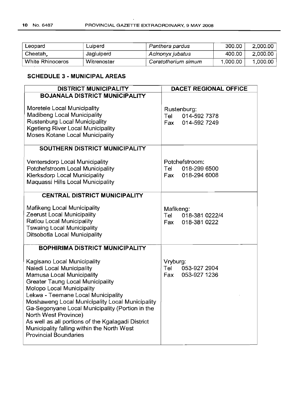| Leopard          | Luiperd     | Panthera pardus     | 300.00   | 2,000.00 |
|------------------|-------------|---------------------|----------|----------|
| Cheetah,         | Jagluiperd  | Acinonyx jubatus    | 400.00   | 2,000.00 |
| White Rhinoceros | Witrenoster | Ceratotherium simum | 1,000.00 | 1,000.00 |

## **SCHEDULE 3 - MUNICIPAL AREAS**

| <b>DISTRICT MUNICIPALITY</b>                                                                                                                                                                                                                                                                                                                                                                                                                                         | <b>DACET REGIONAL OFFICE</b>                                 |  |  |  |
|----------------------------------------------------------------------------------------------------------------------------------------------------------------------------------------------------------------------------------------------------------------------------------------------------------------------------------------------------------------------------------------------------------------------------------------------------------------------|--------------------------------------------------------------|--|--|--|
| <b>BOJANALA DISTRICT MUNICIPALITY</b>                                                                                                                                                                                                                                                                                                                                                                                                                                |                                                              |  |  |  |
| Moretele Local Municipality<br>Madibeng Local Municipality<br>Rustenburg Local Municipality<br><b>Kgetleng River Local Municipality</b><br>Moses Kotane Local Municipality                                                                                                                                                                                                                                                                                           | Rustenburg:<br>014-592 7378<br>Tel<br>014-592 7249<br>Fax    |  |  |  |
| SOUTHERN DISTRICT MUNICIPALITY                                                                                                                                                                                                                                                                                                                                                                                                                                       |                                                              |  |  |  |
| Ventersdorp Local Municipality<br>Potchefstroom Local Municipality<br>Klerksdorp Local Municipality<br>Maguassi Hills Local Municipality<br><b>CENTRAL DISTRICT MUNICIPALITY</b>                                                                                                                                                                                                                                                                                     | Potchefstroom:<br>018-299 6500<br>Tel<br>018-294 6008<br>Fax |  |  |  |
| Mafikeng Local Municipality<br>Zeerust Local Municipality<br><b>Ratlou Local Municipality</b><br><b>Tswaing Local Municipality</b><br>Ditsobotla Local Municipality                                                                                                                                                                                                                                                                                                  | Mafikeng:<br>Tel 018-381 0222/4<br>Fax<br>018-381 0222       |  |  |  |
| <b>BOPHIRIMA DISTRICT MUNICIPALITY</b>                                                                                                                                                                                                                                                                                                                                                                                                                               |                                                              |  |  |  |
| Kagisano Local Municipality<br>Naledi Local Municipality<br>Mamusa Local Municipality<br><b>Greater Taung Local Municipality</b><br>Molopo Local Municipality<br>Lekwa - Teemane Local Municipality<br>Moshaweng Local Municipality Local Municipality<br>Ga-Segonyane Local Municipality (Portion in the<br>North West Province)<br>As well as all portions of the Kgalagadi District<br>Municipality falling within the North West<br><b>Provincial Boundaries</b> | Vryburg:<br>Tel<br>053-927 2904<br>Fax<br>053-927 1236       |  |  |  |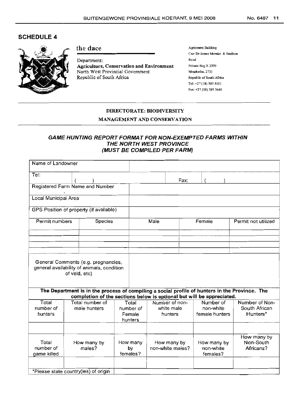## SCHEDULE 4



## the dace

Department: Agriculture, Conservation and Environment North West Provincial Government Republic of South Africa

Agricentre Building Cnr: Dr James Morake & Stadium Road Private Bag X 2039 Mmabatho, 2735 Republic of South Africa Tel: +27 (18) 389 Sill Fax: +27 (18) 389 5640

#### DIRECTORATE: BIODIVERSITY

#### MANAGEMENT AND CONSERVATION

### GAME HUNTING REPORT FORMAT FOR NON-EXEMPTED FARMS WITHIN THE NORTH WEST PROVINCE (MUST BE COMPILED PER FARM)

| Name of Landowner                    |               |                                                                                   |                                         |                  |                                         |      |                                          |                                                                                                |
|--------------------------------------|---------------|-----------------------------------------------------------------------------------|-----------------------------------------|------------------|-----------------------------------------|------|------------------------------------------|------------------------------------------------------------------------------------------------|
| Tel:                                 |               |                                                                                   |                                         |                  |                                         | Fax: |                                          |                                                                                                |
|                                      |               | Registered Farm Name and Number                                                   |                                         |                  |                                         |      |                                          |                                                                                                |
| Local Municipal Area                 |               |                                                                                   |                                         |                  |                                         |      |                                          |                                                                                                |
|                                      |               | GPS Position of property (if available)                                           |                                         |                  |                                         |      |                                          |                                                                                                |
| Permit numbers                       |               | <b>Species</b>                                                                    |                                         | Male             |                                         |      | Female                                   | Permit not utilized                                                                            |
|                                      |               |                                                                                   |                                         |                  |                                         |      |                                          |                                                                                                |
|                                      |               |                                                                                   |                                         |                  |                                         |      |                                          |                                                                                                |
|                                      | of veld, etc) | General Comments (e.g. pregnancies,<br>general availability of animals, condition |                                         |                  |                                         |      |                                          |                                                                                                |
|                                      |               | completion of the sections below is optional but will be appreciated.             |                                         |                  |                                         |      |                                          | The Department is in the process of compiling a social profile of hunters in the Province. The |
| Total<br>number of<br>hunters        |               | Total number of<br>male hunters                                                   | Total<br>number of<br>Female<br>hunters |                  | Number of non-<br>white male<br>hunters |      | Number of<br>non-white<br>female hunters | Number of Non-<br>South African<br>Hunters*                                                    |
|                                      |               |                                                                                   |                                         |                  |                                         |      |                                          |                                                                                                |
| Total<br>number of<br>game killed    |               | How many by<br>males?                                                             | How many<br>by<br>females?              | non-white males? | How many by                             |      | How many by<br>non-white<br>females?     | How many by<br>Non-South<br>Africans?                                                          |
| *Please state country(ies) of origin |               |                                                                                   |                                         |                  |                                         |      |                                          |                                                                                                |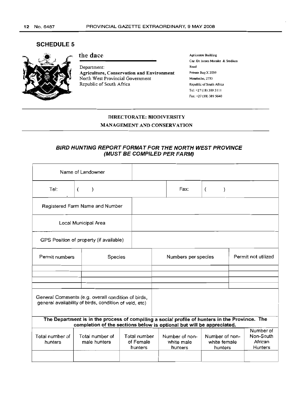### SCHEDULE 5



#### the dace

Department: Agriculture, Conservation and Environment North West Provincial Government Republic of South Africa

Agricentre Building Cnr: Dr James Morake & Stadium Road Private Bag X 2039 Mmabatho, 2735 Republic of South Africa Tel: +27 (18) 389 SIll Fax: +27 (18) 389 5640

#### DIRECTORATE: BIODIVERSITY

#### MANAGEMENT AND CONSERVATION

## BIRD HUNTING REPORT FORMA T FOR THE NORTH WEST PROVINCE (MUST BE COMPILED PER FARM)

| Name of Landowner                       |                                                                                                                                                                         |                                      |                                         |          |                                           |                                              |
|-----------------------------------------|-------------------------------------------------------------------------------------------------------------------------------------------------------------------------|--------------------------------------|-----------------------------------------|----------|-------------------------------------------|----------------------------------------------|
| Tel:                                    | $\overline{(\ }$                                                                                                                                                        |                                      | Fax:                                    | $\left($ |                                           |                                              |
| Registered Farm Name and Number         |                                                                                                                                                                         |                                      |                                         |          |                                           |                                              |
| Local Municipal Area                    |                                                                                                                                                                         |                                      |                                         |          |                                           |                                              |
| GPS Position of property (if available) |                                                                                                                                                                         |                                      |                                         |          |                                           |                                              |
| Permit numbers<br><b>Species</b>        |                                                                                                                                                                         |                                      | Numbers per species                     |          |                                           | Permit not utilized                          |
|                                         |                                                                                                                                                                         |                                      |                                         |          |                                           |                                              |
|                                         |                                                                                                                                                                         |                                      |                                         |          |                                           |                                              |
|                                         |                                                                                                                                                                         |                                      |                                         |          |                                           |                                              |
|                                         | General Comments (e.g. overall condition of birds,<br>general availability of birds, condition of veld, etc)                                                            |                                      |                                         |          |                                           |                                              |
|                                         |                                                                                                                                                                         |                                      |                                         |          |                                           |                                              |
|                                         | The Department is in the process of compiling a social profile of hunters in the Province. The<br>completion of the sections below is optional but will be appreciated. |                                      |                                         |          |                                           |                                              |
| Total number of<br>hunters              | Total number of<br>male hunters                                                                                                                                         | Total number<br>of Female<br>hunters | Number of non-<br>white male<br>hunters |          | Number of non-<br>white female<br>hunters | Number of<br>Non-South<br>African<br>Hunters |
|                                         |                                                                                                                                                                         |                                      |                                         |          |                                           |                                              |